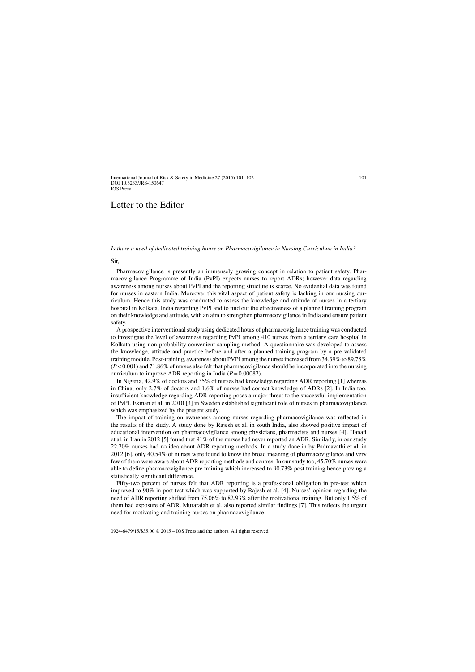## Letter to the Editor

*Is there a need of dedicated training hours on Pharmacovigilance in Nursing Curriculum in India?*

Sir,

Pharmacovigilance is presently an immensely growing concept in relation to patient safety. Pharmacovigilance Programme of India (PvPI) expects nurses to report ADRs; however data regarding awareness among nurses about PvPI and the reporting structure is scarce. No evidential data was found for nurses in eastern India. Moreover this vital aspect of patient safety is lacking in our nursing curriculum. Hence this study was conducted to assess the knowledge and attitude of nurses in a tertiary hospital in Kolkata, India regarding PvPI and to find out the effectiveness of a planned training program on their knowledge and attitude, with an aim to strengthen pharmacovigilance in India and ensure patient safety.

A prospective interventional study using dedicated hours of pharmacovigilance training was conducted to investigate the level of awareness regarding PvPI among 410 nurses from a tertiary care hospital in Kolkata using non-probability convenient sampling method. A questionnaire was developed to assess the knowledge, attitude and practice before and after a planned training program by a pre validated training module. Post-training, awareness about PVPI among the nurses increased from 34.39% to 89.78% (*P* < 0.001) and 71.86% of nurses also felt that pharmacovigilance should be incorporated into the nursing curriculum to improve ADR reporting in India (*P* = 0.00082).

In Nigeria, 42.9% of doctors and 35% of nurses had knowledge regarding ADR reporting [1] whereas in China, only 2.7% of doctors and 1.6% of nurses had correct knowledge of ADRs [2]. In India too, insufficient knowledge regarding ADR reporting poses a major threat to the successful implementation of PvPI. Ekman et al. in 2010 [3] in Sweden established significant role of nurses in pharmacovigilance which was emphasized by the present study.

The impact of training on awareness among nurses regarding pharmacovigilance was reflected in the results of the study. A study done by Rajesh et al. in south India, also showed positive impact of educational intervention on pharmacovigilance among physicians, pharmacists and nurses [4]. Hanafi et al. in Iran in 2012 [5] found that 91% of the nurses had never reported an ADR. Similarly, in our study 22.20% nurses had no idea about ADR reporting methods. In a study done in by Padmavathi et al. in 2012 [6], only 40.54% of nurses were found to know the broad meaning of pharmacovigilance and very few of them were aware about ADR reporting methods and centres. In our study too, 45.70% nurses were able to define pharmacovigilance pre training which increased to 90.73% post training hence proving a statistically significant difference.

Fifty-two percent of nurses felt that ADR reporting is a professional obligation in pre-test which improved to 90% in post test which was supported by Rajesh et al. [4]. Nurses' opinion regarding the need of ADR reporting shifted from 75.06% to 82.93% after the motivational training. But only 1.5% of them had exposure of ADR. Muraraiah et al. also reported similar findings [7]. This reflects the urgent need for motivating and training nurses on pharmacovigilance.

0924-6479/15/\$35.00 © 2015 – IOS Press and the authors. All rights reserved